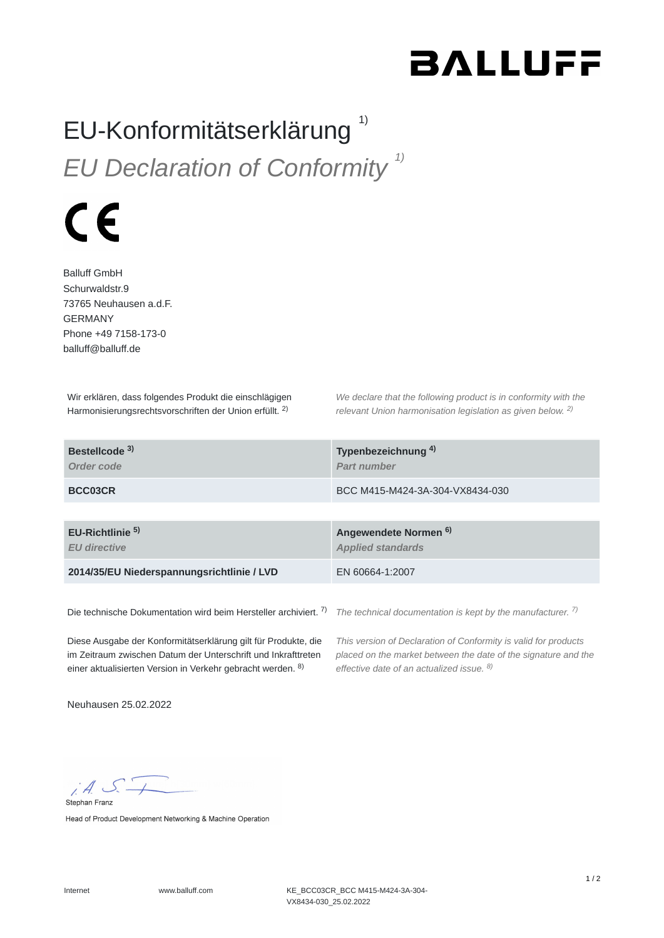## **BALLUFF**

## EU-Konformitätserklärung *EU Declaration of Conformity 1)* 1)



Balluff GmbH Schurwaldstr.9 73765 Neuhausen a.d.F. GERMANY Phone +49 7158-173-0 balluff@balluff.de

Wir erklären, dass folgendes Produkt die einschlägigen Harmonisierungsrechtsvorschriften der Union erfüllt. <sup>2)</sup>

*We declare that the following product is in conformity with the relevant Union harmonisation legislation as given below.*  2) *2)*

| Bestellcode <sup>3)</sup><br>Order code            | Typenbezeichnung <sup>4)</sup><br><b>Part number</b>         |
|----------------------------------------------------|--------------------------------------------------------------|
| BCC03CR                                            | BCC M415-M424-3A-304-VX8434-030                              |
|                                                    |                                                              |
|                                                    |                                                              |
| EU-Richtlinie <sup>5)</sup><br><b>EU directive</b> | Angewendete Normen <sup>6)</sup><br><b>Applied standards</b> |
| 2014/35/EU Niederspannungsrichtlinie / LVD         | EN 60664-1:2007                                              |

Die technische Dokumentation wird beim Hersteller archiviert. 7)

*The technical documentation is kept by the manufacturer. 7)*

Diese Ausgabe der Konformitätserklärung gilt für Produkte, die im Zeitraum zwischen Datum der Unterschrift und Inkrafttreten einer aktualisierten Version in Verkehr gebracht werden. 8)

*This version of Declaration of Conformity is valid for products placed on the market between the date of the signature and the effective date of an actualized issue. 8)*

Neuhausen 25.02.2022

 $A S$ Stephan Franz

Head of Product Development Networking & Machine Operation